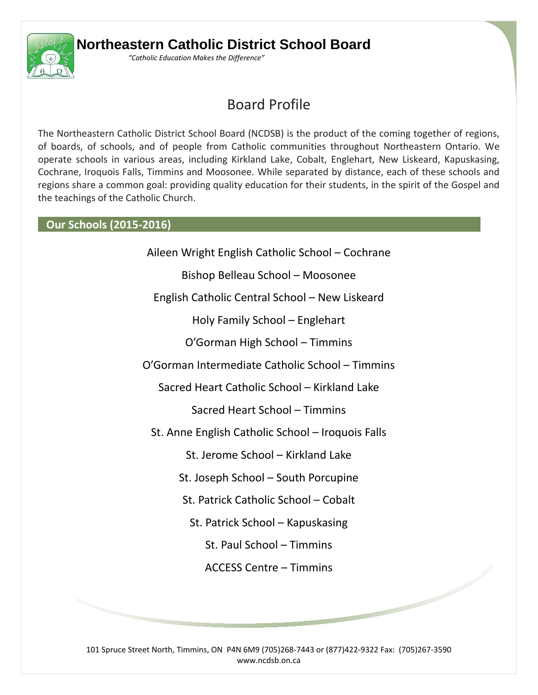

## **Northeastern Catholic District School Board**

*"Catholic Education Makes the Difference"*

# Board Profile

The Northeastern Catholic District School Board (NCDSB) is the product of the coming together of regions, of boards, of schools, and of people from Catholic communities throughout Northeastern Ontario. We operate schools in various areas, including Kirkland Lake, Cobalt, Englehart, New Liskeard, Kapuskasing, Cochrane, Iroquois Falls, Timmins and Moosonee. While separated by distance, each of these schools and regions share a common goal: providing quality education for their students, in the spirit of the Gospel and the teachings of the Catholic Church.

#### **Our Schools (2015-2016)**

Aileen Wright English Catholic School – Cochrane Bishop Belleau School – Moosonee English Catholic Central School – New Liskeard Holy Family School – Englehart O'Gorman High School – Timmins

O'Gorman Intermediate Catholic School – Timmins

Sacred Heart Catholic School – Kirkland Lake

Sacred Heart School – Timmins

St. Anne English Catholic School – Iroquois Falls

St. Jerome School – Kirkland Lake

St. Joseph School – South Porcupine

St. Patrick Catholic School – Cobalt

St. Patrick School – Kapuskasing

St. Paul School – Timmins

ACCESS Centre – Timmins